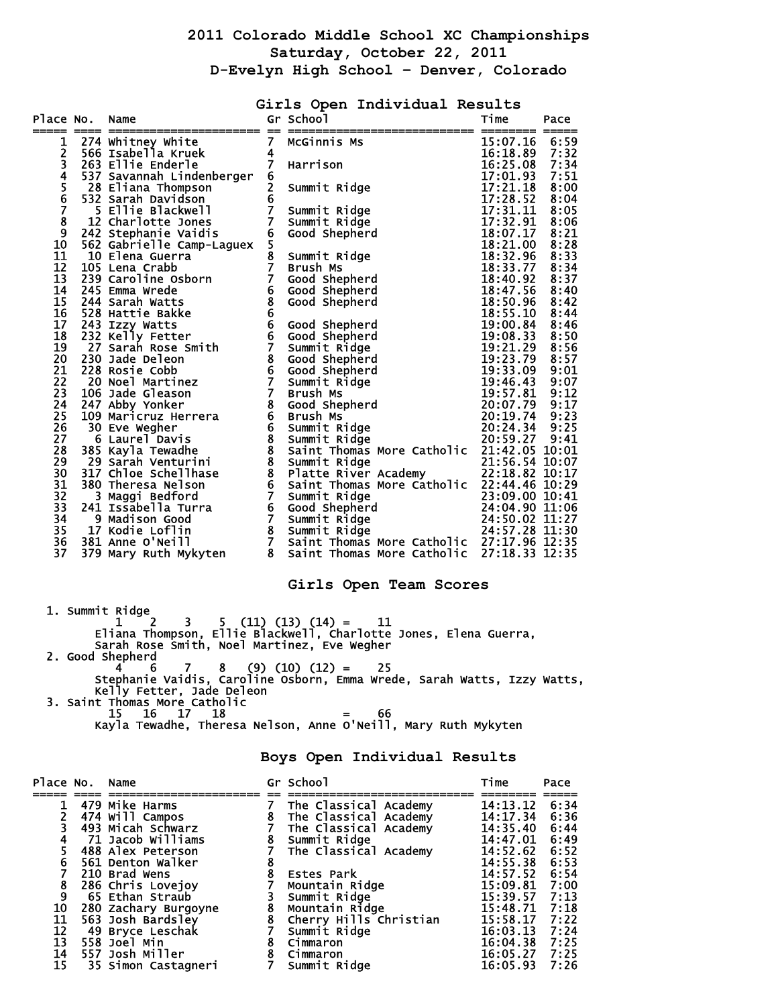## **2011 Colorado Middle School XC Championships Saturday, October 22, 2011 D-Evelyn High School – Denver, Colorado**

**Girls Open Individual Results** 

| Place No.                  | Name                                                                                                                |                         | Gr School                                                                                                                                                                                                                                                                                                                                    | Time<br>======                                            | Pace |
|----------------------------|---------------------------------------------------------------------------------------------------------------------|-------------------------|----------------------------------------------------------------------------------------------------------------------------------------------------------------------------------------------------------------------------------------------------------------------------------------------------------------------------------------------|-----------------------------------------------------------|------|
| 1                          | 274 Whitney White                                                                                                   | $\overline{\mathbf{z}}$ | McGinnis Ms                                                                                                                                                                                                                                                                                                                                  | 15:07.16                                                  | 6:59 |
|                            | 566 Isabella Kruek                                                                                                  | $\overline{\mathbf{4}}$ |                                                                                                                                                                                                                                                                                                                                              | 16:18.89                                                  | 7:32 |
|                            | 263 Ellie Enderle                                                                                                   | 7                       | Harrison                                                                                                                                                                                                                                                                                                                                     | 16:25.08                                                  | 7:34 |
|                            | 537 Savannah Lindenberger                                                                                           |                         |                                                                                                                                                                                                                                                                                                                                              | 17:01.93                                                  | 7:51 |
| 23456789                   | 28 Eliana Thompson<br><b>28 Eliana Thompson<br/>532 Sarah Davidson<br/>5 Ellie Blackwell<br/>12 Charlotte Jones</b> | 62677                   | Summit Ridge                                                                                                                                                                                                                                                                                                                                 | 17:21.18                                                  | 8:00 |
|                            | 532 Sarah Davidson                                                                                                  |                         |                                                                                                                                                                                                                                                                                                                                              | 17:28.52                                                  | 8:04 |
|                            |                                                                                                                     |                         | Summit Ridge                                                                                                                                                                                                                                                                                                                                 | $\overline{17}: \overline{31}. \overline{11}$<br>17:32.91 | 8:05 |
|                            |                                                                                                                     |                         | Summit Ridge                                                                                                                                                                                                                                                                                                                                 |                                                           | 8:06 |
|                            |                                                                                                                     |                         |                                                                                                                                                                                                                                                                                                                                              |                                                           |      |
| 10                         |                                                                                                                     |                         |                                                                                                                                                                                                                                                                                                                                              |                                                           |      |
| 11                         |                                                                                                                     |                         |                                                                                                                                                                                                                                                                                                                                              |                                                           |      |
| 12                         |                                                                                                                     |                         |                                                                                                                                                                                                                                                                                                                                              |                                                           |      |
| 13                         |                                                                                                                     |                         |                                                                                                                                                                                                                                                                                                                                              |                                                           |      |
| 14                         |                                                                                                                     |                         |                                                                                                                                                                                                                                                                                                                                              |                                                           |      |
| 15                         |                                                                                                                     |                         |                                                                                                                                                                                                                                                                                                                                              |                                                           |      |
| 16                         |                                                                                                                     |                         |                                                                                                                                                                                                                                                                                                                                              |                                                           |      |
| 17                         |                                                                                                                     |                         |                                                                                                                                                                                                                                                                                                                                              |                                                           |      |
| 18                         |                                                                                                                     |                         |                                                                                                                                                                                                                                                                                                                                              |                                                           |      |
| 19                         |                                                                                                                     |                         |                                                                                                                                                                                                                                                                                                                                              |                                                           |      |
| 20                         |                                                                                                                     |                         |                                                                                                                                                                                                                                                                                                                                              |                                                           |      |
| 21                         |                                                                                                                     |                         |                                                                                                                                                                                                                                                                                                                                              |                                                           |      |
| $\overline{2}\overline{2}$ |                                                                                                                     |                         |                                                                                                                                                                                                                                                                                                                                              |                                                           |      |
| 23                         |                                                                                                                     |                         |                                                                                                                                                                                                                                                                                                                                              |                                                           |      |
| 24                         |                                                                                                                     |                         |                                                                                                                                                                                                                                                                                                                                              |                                                           |      |
| 25                         |                                                                                                                     |                         |                                                                                                                                                                                                                                                                                                                                              |                                                           |      |
| $\overline{26}$            |                                                                                                                     |                         |                                                                                                                                                                                                                                                                                                                                              |                                                           |      |
| 27                         |                                                                                                                     |                         |                                                                                                                                                                                                                                                                                                                                              |                                                           |      |
| 28                         |                                                                                                                     |                         |                                                                                                                                                                                                                                                                                                                                              |                                                           |      |
| 29                         |                                                                                                                     |                         |                                                                                                                                                                                                                                                                                                                                              |                                                           |      |
| $\overline{30}$            |                                                                                                                     |                         |                                                                                                                                                                                                                                                                                                                                              |                                                           |      |
| $\overline{31}$            |                                                                                                                     |                         |                                                                                                                                                                                                                                                                                                                                              |                                                           |      |
| $\overline{3}\overline{2}$ |                                                                                                                     |                         |                                                                                                                                                                                                                                                                                                                                              |                                                           |      |
| 33                         |                                                                                                                     |                         |                                                                                                                                                                                                                                                                                                                                              |                                                           |      |
| 34                         |                                                                                                                     |                         |                                                                                                                                                                                                                                                                                                                                              |                                                           |      |
| 35                         |                                                                                                                     |                         |                                                                                                                                                                                                                                                                                                                                              |                                                           |      |
| 36                         |                                                                                                                     |                         |                                                                                                                                                                                                                                                                                                                                              |                                                           |      |
| 37                         | 379 Mary Ruth Mykyten 8                                                                                             |                         | $12 \text{ CharI, Weyl (m) 13.1114 } 8:05 \text{ 24.12.914 } 12:32.91 \text{ 8:021.17 } 8:06 \text{ 24.13.115 } 12:32.91 \text{ 8:06} \text{ 25.13.11 } 8:06 \text{ 25.13.11 } 8:06 \text{ 25.13.11 } 8:06 \text{ 25.13.11 } 8:06 \text{ 25.13.11 } 8:06 \text{ 25.13.13 } 8:06 \text{ 25.13.1$<br>Saint Thomas More Catholic 27:18.33 12:35 |                                                           |      |
|                            |                                                                                                                     |                         |                                                                                                                                                                                                                                                                                                                                              |                                                           |      |

**Girls Open Team Scores** 

 1. Summit Ridge "' n'uy<del>e</del><br>1 2 3 5 (11) (13) (14) = 11<br>Eliana Thompson, Ellie Blackwell, Charlotte Jones, Elena Guerra,<br>Sarah Rose Smith, Noel Martinez, Eve Wegher Eliana Thompson, Ellie Blackwell, Charlotte Jones, Elena Guerra, Sarah Rose Smith, Noel Martinez, Eve Wegher 2. Good Shepherd  $4 \t6 \t7 \t8 \t(9) \t(10) \t(12) = 25$  Stephanie Vaidis, Caroline Osborn, Emma Wrede, Sarah Watts, Izzy Watts, Kelly Fetter, Jade Deleon 3. Saint Thomas More Catholic 15 16 17 18 = 66

Kayla Tewadhe, Theresa Nelson, Anne O'Neill, Mary Ruth Mykyten

## **Boys Open Individual Results**

| Place No. Name  |                      |   | Gr School              | Time          | Pace |
|-----------------|----------------------|---|------------------------|---------------|------|
|                 | 479 Mike Harms       | 7 | The Classical Academy  | 14:13.12      | 6:34 |
|                 | 474 Will Campos      | 8 | The Classical Academy  | 14:17.34      | 6:36 |
|                 | 493 Micah Schwarz    |   | The Classical Academy  | 14:35.40      | 6:44 |
| 4               | 71 Jacob Williams    | 8 | Summit Ridge           | 14:47.01      | 6:49 |
|                 | 488 Alex Peterson    |   | The Classical Academy  | 14:52.62      | 6:52 |
| 6               | 561 Denton Walker    |   |                        | 14:55.38      | 6:53 |
|                 | 210 Brad Wens        | 8 | Estes Park             | 14:57.52      | 6:54 |
|                 | 286 Chris Lovejoy    |   | Mountain Ridge         | 15:09.81      | 7:00 |
| $\frac{8}{9}$   | 65 Ethan Straub      |   | Summit Ridge           | 15:39.57      | 7:13 |
| 10              | 280 Zachary Burgoyne | 8 | Mountain Ridge         | 15:48.71      | 7:18 |
| 11              | 563 Josh Bardsley    | 8 | Cherry Hills Christian | 15:58.17      | 7:22 |
| 12              | 49 Bryce Leschak     |   | Summit Ridge           | 16:03.13      | 7:24 |
| $\overline{13}$ | 558 Joel Min         | 8 | Cimmaron               | 16:04.38      | 7:25 |
| 14              | 557 Josh Miller      | 8 | Cimmaron               | 16:05.27 7:25 |      |
| 15              | 35 Simon Castagneri  |   | Summit Ridge           | 16:05.93      | 7:26 |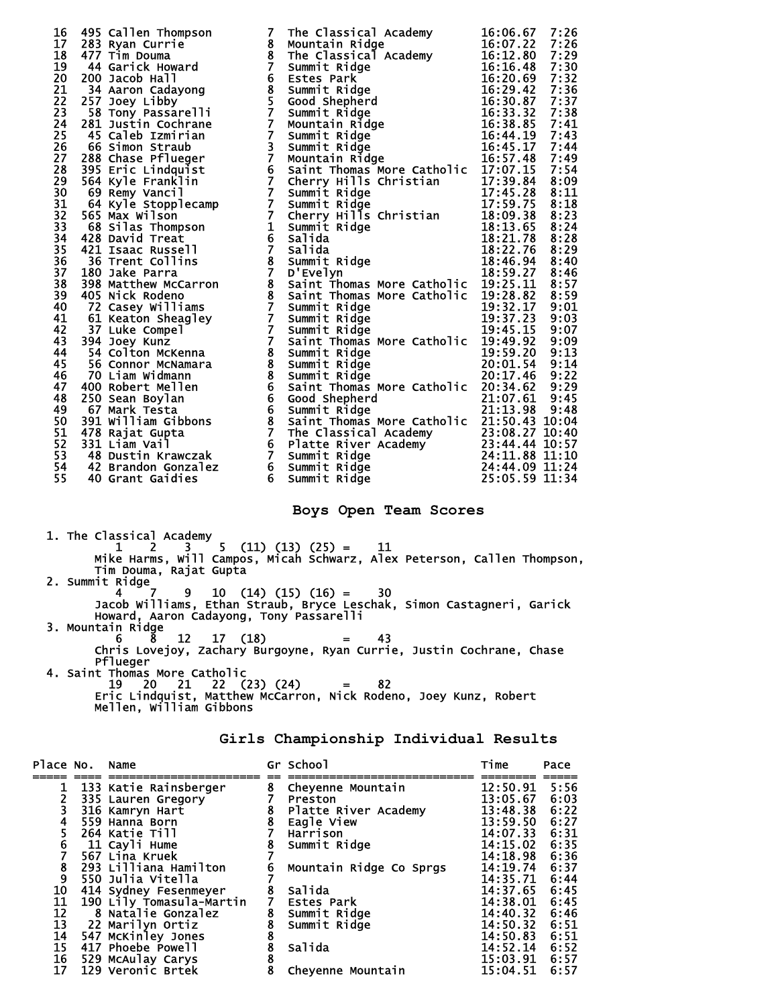| 495 Callen Thompson<br>283 Ryan Currie 8 Mountain Ridge 16:05.22 7:26<br>44 Gartick Howard 8 Mountain Ridge 16:07.22 7:26<br>44 Gartick Howard 8 The Classical Academy 16:07.22 7:29<br>290 acad Shepher 16:08 Summit Ridge 16:12.80<br>16<br>17 <sub>2</sub><br>18<br>19<br>20<br>$\frac{21}{22}$<br>23<br>24<br>25<br>26<br>27<br>28<br>29<br>30<br>31<br>$\overline{32}$<br>33<br>34<br>35<br>36<br>37<br>38<br>39<br>40<br>41<br>42<br>43<br>44<br>45<br>46<br>47<br>48<br>49<br>50<br>51<br>52<br>53<br>54 |    |  |  |
|-----------------------------------------------------------------------------------------------------------------------------------------------------------------------------------------------------------------------------------------------------------------------------------------------------------------------------------------------------------------------------------------------------------------------------------------------------------------------------------------------------------------|----|--|--|
|                                                                                                                                                                                                                                                                                                                                                                                                                                                                                                                 |    |  |  |
|                                                                                                                                                                                                                                                                                                                                                                                                                                                                                                                 |    |  |  |
|                                                                                                                                                                                                                                                                                                                                                                                                                                                                                                                 |    |  |  |
|                                                                                                                                                                                                                                                                                                                                                                                                                                                                                                                 |    |  |  |
|                                                                                                                                                                                                                                                                                                                                                                                                                                                                                                                 |    |  |  |
|                                                                                                                                                                                                                                                                                                                                                                                                                                                                                                                 |    |  |  |
|                                                                                                                                                                                                                                                                                                                                                                                                                                                                                                                 |    |  |  |
|                                                                                                                                                                                                                                                                                                                                                                                                                                                                                                                 |    |  |  |
|                                                                                                                                                                                                                                                                                                                                                                                                                                                                                                                 |    |  |  |
|                                                                                                                                                                                                                                                                                                                                                                                                                                                                                                                 |    |  |  |
|                                                                                                                                                                                                                                                                                                                                                                                                                                                                                                                 |    |  |  |
|                                                                                                                                                                                                                                                                                                                                                                                                                                                                                                                 |    |  |  |
|                                                                                                                                                                                                                                                                                                                                                                                                                                                                                                                 |    |  |  |
|                                                                                                                                                                                                                                                                                                                                                                                                                                                                                                                 |    |  |  |
|                                                                                                                                                                                                                                                                                                                                                                                                                                                                                                                 |    |  |  |
|                                                                                                                                                                                                                                                                                                                                                                                                                                                                                                                 |    |  |  |
|                                                                                                                                                                                                                                                                                                                                                                                                                                                                                                                 |    |  |  |
|                                                                                                                                                                                                                                                                                                                                                                                                                                                                                                                 |    |  |  |
|                                                                                                                                                                                                                                                                                                                                                                                                                                                                                                                 |    |  |  |
|                                                                                                                                                                                                                                                                                                                                                                                                                                                                                                                 |    |  |  |
|                                                                                                                                                                                                                                                                                                                                                                                                                                                                                                                 |    |  |  |
|                                                                                                                                                                                                                                                                                                                                                                                                                                                                                                                 |    |  |  |
|                                                                                                                                                                                                                                                                                                                                                                                                                                                                                                                 |    |  |  |
|                                                                                                                                                                                                                                                                                                                                                                                                                                                                                                                 |    |  |  |
|                                                                                                                                                                                                                                                                                                                                                                                                                                                                                                                 |    |  |  |
|                                                                                                                                                                                                                                                                                                                                                                                                                                                                                                                 |    |  |  |
|                                                                                                                                                                                                                                                                                                                                                                                                                                                                                                                 |    |  |  |
|                                                                                                                                                                                                                                                                                                                                                                                                                                                                                                                 |    |  |  |
|                                                                                                                                                                                                                                                                                                                                                                                                                                                                                                                 |    |  |  |
|                                                                                                                                                                                                                                                                                                                                                                                                                                                                                                                 |    |  |  |
|                                                                                                                                                                                                                                                                                                                                                                                                                                                                                                                 |    |  |  |
|                                                                                                                                                                                                                                                                                                                                                                                                                                                                                                                 |    |  |  |
|                                                                                                                                                                                                                                                                                                                                                                                                                                                                                                                 |    |  |  |
|                                                                                                                                                                                                                                                                                                                                                                                                                                                                                                                 |    |  |  |
|                                                                                                                                                                                                                                                                                                                                                                                                                                                                                                                 |    |  |  |
|                                                                                                                                                                                                                                                                                                                                                                                                                                                                                                                 |    |  |  |
|                                                                                                                                                                                                                                                                                                                                                                                                                                                                                                                 |    |  |  |
|                                                                                                                                                                                                                                                                                                                                                                                                                                                                                                                 |    |  |  |
|                                                                                                                                                                                                                                                                                                                                                                                                                                                                                                                 |    |  |  |
|                                                                                                                                                                                                                                                                                                                                                                                                                                                                                                                 |    |  |  |
|                                                                                                                                                                                                                                                                                                                                                                                                                                                                                                                 |    |  |  |
|                                                                                                                                                                                                                                                                                                                                                                                                                                                                                                                 |    |  |  |
|                                                                                                                                                                                                                                                                                                                                                                                                                                                                                                                 | 55 |  |  |

**Boys Open Team Scores** 

 1. The Classical Academy  $1 \quad 2 \quad 3 \quad 5 \quad (11) \quad (13) \quad (25) = \quad 11$  Mike Harms, Will Campos, Micah Schwarz, Alex Peterson, Callen Thompson, Tim Douma, Rajat Gupta 2. Summit Ridge 4 7 9 10 (14) (15) (16) = 30 Jacob Williams, Ethan Straub, Bryce Leschak, Simon Castagneri, Garick Howard, Aaron Cadayong, Tony Passarelli 3. Mountain Ridge  $6 \t 8 \t 12 \t 17 \t (18) = 43$  Chris Lovejoy, Zachary Burgoyne, Ryan Currie, Justin Cochrane, Chase Pflueger 4. Saint Thomas More Catholic 19 20 21 22 (23) (24) = 82 Eric Lindquist, Matthew McCarron, Nick Rodeno, Joey Kunz, Robert

Mellen, William Gibbons

**Girls Championship Individual Results** 

| Place No. Name  |                          |                                            | Gr School               | Time     | Pace |
|-----------------|--------------------------|--------------------------------------------|-------------------------|----------|------|
|                 | 133 Katie Rainsberger    | 8                                          | Cheyenne Mountain       | 12:50.91 | 5:56 |
|                 | 335 Lauren Gregory       |                                            | Preston                 | 13:05.67 | 6:03 |
|                 | 316 Kamryn Hart          |                                            | Platte River Academy    | 13:48.38 | 6:22 |
| 4               | 559 Hanna Born           | $\begin{array}{c} 8 \\ 8 \\ 7 \end{array}$ | Eagle View              | 13:59.50 | 6:27 |
|                 | 264 Katie Till           |                                            | Harrison                | 14:07.33 | 6:31 |
| $\frac{6}{7}$   | 11 Cayli Hume            | 8                                          | Summit Ridge            | 14:15.02 | 6:35 |
|                 | 567 Lina Kruek           |                                            |                         | 14:18.98 | 6:36 |
| $\frac{8}{9}$   | 293 Lilliana Hamilton    |                                            | Mountain Ridge Co Sprgs | 14:19.74 | 6:37 |
|                 | 550 Julia Vitella        |                                            |                         | 14:35.71 | 6:44 |
| 10              | 414 Sydney Fesenmeyer    |                                            | Salida                  | 14:37.65 | 6:45 |
| 11              | 190 Lily Tomasula-Martin |                                            | Estes Park              | 14:38.01 | 6:45 |
| 12 <sup>2</sup> | 8 Natalie Gonzalez       | 8                                          | Summit Ridae            | 14:40.32 | 6:46 |
| 13              | 22 Marilyn Ortiz         |                                            | Summit Ridge            | 14:50.32 | 6:51 |
| 14              | 547 McKinley Jones       |                                            |                         | 14:50.83 | 6:51 |
| 15              | 417 Phoebe Powell        | 8                                          | Salida                  | 14:52.14 | 6:52 |
| 16              | 529 McAulay Carys        |                                            |                         | 15:03.91 | 6:57 |
| 17              | 129 Veronic Brtek        | 8                                          | Cheyenne Mountain       | 15:04.51 | 6:57 |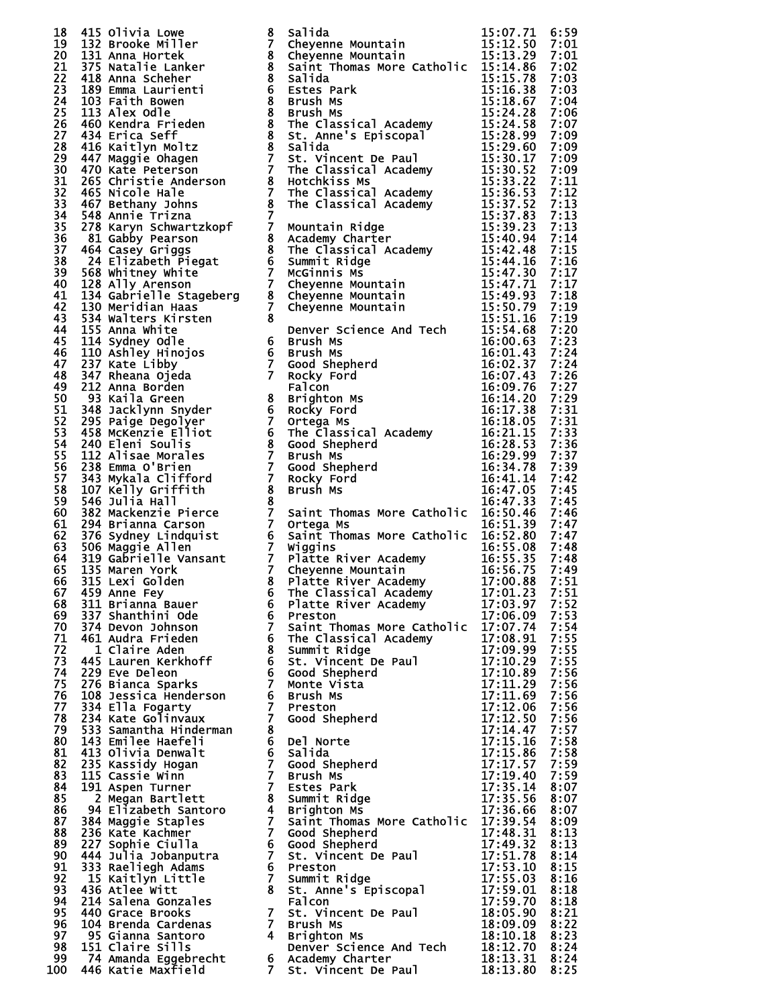| 18                   | 415   | Olivia Lowe                                            |
|----------------------|-------|--------------------------------------------------------|
| 19                   | 132   | Brooke Miller                                          |
| 20                   | 131   | Anna Hortek                                            |
| 21                   |       | 375 Natalie Lanker                                     |
| 22                   | 418   |                                                        |
|                      |       | Anna Scheher                                           |
| 23                   |       | 189 Emma Laurienti                                     |
| 24                   | 103   | Faith Bowen                                            |
| 25                   | 113   | Alex Odle                                              |
| 26                   |       | 460 Kendra Frieden                                     |
| 27                   |       | 434 Erica Seff                                         |
| 28                   | 416   | Kaitlyn Moltz                                          |
| 29                   | 447   | Maggie Ohagen                                          |
| 30<br>31             | 470   | Kate Peterson                                          |
|                      | 265   | Christie Anderson                                      |
|                      |       | 465 Nicole Hale                                        |
| $\frac{1}{32}$       | 467   | Bethany Johns                                          |
|                      |       |                                                        |
| 34<br>35<br>36<br>37 |       | 548 Annie Trizna<br>278 Karyn Schwartzkopf             |
|                      | 81    | Gabby Pearson                                          |
|                      | 464   | Casey Griggs                                           |
| 38                   |       | 24 Elizabeth Piegat                                    |
|                      |       |                                                        |
| 39<br>40             |       | 568 Whitney White                                      |
|                      | 128   | Ally Arenson                                           |
| 41                   |       | 134 Gabrielle Stageberg                                |
| 42                   |       |                                                        |
| 43                   |       |                                                        |
| 44                   |       | 155 Anna white                                         |
| 45                   |       | 114 Sydney Odle                                        |
| 46                   | 110   | Ashley Hinojos<br>Kate Libby                           |
| 47                   | 237   |                                                        |
| 48                   |       | 347 Rheana Ojeda                                       |
| 49                   | 212   | Anna Borden                                            |
| 50                   |       | 93 Kaila Green                                         |
| 51                   | 348   | Jacklynn Snyder                                        |
| 52                   |       | 295 Paige Degolyer                                     |
| 53                   |       | 458 McKenzie Elliot                                    |
| 54                   | 240 - | Eleni Soulis                                           |
| 55                   | 112   | Alisae Morales                                         |
| 56                   | 238   | Emma O'Brien                                           |
| 57                   | 343   | Mykala Clifford                                        |
| 58                   | 107   | Kelly Griffith                                         |
| 59                   | 546   |                                                        |
| 60                   | 382   | Julia Hall<br>Mackenzie Pierce                         |
| 61                   |       |                                                        |
|                      | 294   | Brianna Carson                                         |
| 62                   | 376   | Sydney Lindquist                                       |
| 63                   | 506   | Maggie Allen                                           |
| 64                   | 319   | Gabrielle Vansant                                      |
| 65                   |       | 135 Maren York                                         |
| 66                   | 315   | Lexi Golden                                            |
| 67                   |       | 459 Anne Fey<br>311 Brianna Bauer<br>337 Shanthini Ode |
| 68                   |       |                                                        |
| 69                   |       |                                                        |
| 70                   | 374   | Devon Johnson                                          |
| 71                   | 461   | Audra Frieden                                          |
| 72                   | 1     | Claire Aden                                            |
| 73                   | 445   | Lauren Kerkhoff                                        |
| 74                   | 229   | Eve Deleon                                             |
| 75                   | 276   | Bianca Sparks                                          |
| 76                   | 108   | Jessica Henderson                                      |
| 77                   | 334   | Ella Fogarty                                           |
| 78                   | 234   | Kate Golinvaux                                         |
| 79                   | 533   | Samantha Hinderman                                     |
| 80                   | 143   | Emilee Haefeli                                         |
| 81                   | 413   | Olivia Denwalt                                         |
| 82                   | 235   | Kassidy Hogan                                          |
| 83                   | 115   | Cassie Winn                                            |
| 84                   | 191   |                                                        |
| 85                   | 2     | Aspen Turner<br>Megan Bartlett                         |
| 86                   | 94    |                                                        |
|                      |       | Elizabeth Santoro                                      |
| 87                   | 384   | Maggie Staples                                         |
| 88                   | 236   | Kate Kachmer                                           |
| 89                   | 227   | Sophie Ciulla                                          |
| 90                   | 444   | Julia Jobanputra                                       |
| 91                   | 333   | Raeliegh Adams                                         |
| 92                   | 15    | Kaitlyn Little                                         |
| 93                   | 436   | Atlee Witt                                             |
| 94                   | 214   | Salena Gonzales                                        |
| 95                   | 440.  | Grace Brooks                                           |
| 96                   | 104   | Brenda Cardenas                                        |
| 97                   |       | 95 Gianna Santoro                                      |
| 98                   |       | 151 Claire Sills                                       |
| 99                   | 74.   | Amanda Eggebrecht                                      |
| .00                  | 446   | Katie Maxfield                                         |

| 18  |                    |                |                                                                                                                                                                                                                                           |          |      |
|-----|--------------------|----------------|-------------------------------------------------------------------------------------------------------------------------------------------------------------------------------------------------------------------------------------------|----------|------|
| 19  |                    |                |                                                                                                                                                                                                                                           |          |      |
| 20  |                    |                |                                                                                                                                                                                                                                           |          |      |
| 21  |                    |                | 413 Olivia Love Salid Maria Findamia (15:07.71 2013 Anna Mortek Maria The Lassical Academy 15:13.39 2013<br>131 Anna Morte & Chevenne Mountain 15:13.39 7:03<br>131 Anna More & Chevenne Mountain 15:13.39 7:03<br>131 Anna Lourier &     |          |      |
|     |                    |                |                                                                                                                                                                                                                                           |          |      |
| 22  |                    |                |                                                                                                                                                                                                                                           |          |      |
| 23  |                    |                |                                                                                                                                                                                                                                           |          |      |
| 24  |                    |                |                                                                                                                                                                                                                                           |          |      |
| 25  |                    |                |                                                                                                                                                                                                                                           |          |      |
|     |                    |                |                                                                                                                                                                                                                                           |          |      |
| 26  |                    |                |                                                                                                                                                                                                                                           |          |      |
| 27  |                    |                |                                                                                                                                                                                                                                           |          |      |
| 28  |                    |                |                                                                                                                                                                                                                                           |          |      |
| 29  |                    |                |                                                                                                                                                                                                                                           |          |      |
| 30  |                    |                |                                                                                                                                                                                                                                           |          |      |
|     |                    |                |                                                                                                                                                                                                                                           |          |      |
| 31  |                    |                |                                                                                                                                                                                                                                           |          |      |
| 32  |                    |                |                                                                                                                                                                                                                                           |          |      |
| 33  |                    |                |                                                                                                                                                                                                                                           |          |      |
| 34  |                    |                |                                                                                                                                                                                                                                           |          |      |
| 35  |                    |                |                                                                                                                                                                                                                                           |          |      |
|     |                    |                |                                                                                                                                                                                                                                           |          |      |
| 36  |                    |                |                                                                                                                                                                                                                                           |          |      |
| 37  |                    |                |                                                                                                                                                                                                                                           |          |      |
| 38  |                    |                |                                                                                                                                                                                                                                           |          |      |
| 39  |                    |                |                                                                                                                                                                                                                                           |          |      |
| 40  |                    |                |                                                                                                                                                                                                                                           |          |      |
|     |                    |                |                                                                                                                                                                                                                                           |          |      |
| 41  |                    |                |                                                                                                                                                                                                                                           |          |      |
| 42  |                    |                |                                                                                                                                                                                                                                           |          |      |
| 43  |                    |                |                                                                                                                                                                                                                                           |          |      |
| 44  |                    |                |                                                                                                                                                                                                                                           |          |      |
| 45  |                    |                |                                                                                                                                                                                                                                           |          |      |
|     |                    |                |                                                                                                                                                                                                                                           |          |      |
| 46  |                    |                |                                                                                                                                                                                                                                           |          |      |
| 47  |                    |                |                                                                                                                                                                                                                                           |          |      |
| 48  |                    |                |                                                                                                                                                                                                                                           |          |      |
| 49  |                    |                |                                                                                                                                                                                                                                           |          |      |
| 50  |                    |                |                                                                                                                                                                                                                                           |          |      |
|     |                    |                |                                                                                                                                                                                                                                           |          |      |
| 51  |                    |                |                                                                                                                                                                                                                                           |          |      |
| 52  |                    |                |                                                                                                                                                                                                                                           |          |      |
| 53  |                    |                |                                                                                                                                                                                                                                           |          |      |
| 54  |                    |                |                                                                                                                                                                                                                                           |          |      |
| 55  |                    |                |                                                                                                                                                                                                                                           |          |      |
|     |                    |                |                                                                                                                                                                                                                                           |          |      |
| 56  |                    |                |                                                                                                                                                                                                                                           |          |      |
| 57  |                    |                |                                                                                                                                                                                                                                           |          |      |
| 58  |                    |                |                                                                                                                                                                                                                                           |          |      |
| 59  |                    |                |                                                                                                                                                                                                                                           |          |      |
| 60  |                    |                |                                                                                                                                                                                                                                           |          |      |
|     |                    |                |                                                                                                                                                                                                                                           |          |      |
| 61  |                    |                |                                                                                                                                                                                                                                           |          |      |
| 62  |                    |                |                                                                                                                                                                                                                                           |          |      |
| 63  |                    |                |                                                                                                                                                                                                                                           |          |      |
| 64  |                    |                |                                                                                                                                                                                                                                           |          |      |
| 65  |                    |                |                                                                                                                                                                                                                                           |          |      |
|     |                    |                |                                                                                                                                                                                                                                           |          |      |
| 66  |                    |                |                                                                                                                                                                                                                                           |          |      |
|     |                    |                |                                                                                                                                                                                                                                           |          | 7:21 |
|     |                    |                |                                                                                                                                                                                                                                           |          | 7:52 |
|     |                    |                |                                                                                                                                                                                                                                           |          | 7:53 |
|     |                    |                |                                                                                                                                                                                                                                           |          | 7:54 |
|     |                    |                |                                                                                                                                                                                                                                           |          | 7:55 |
|     |                    |                |                                                                                                                                                                                                                                           |          |      |
|     |                    |                |                                                                                                                                                                                                                                           |          | 7:55 |
|     |                    |                |                                                                                                                                                                                                                                           |          | 7:55 |
|     |                    |                |                                                                                                                                                                                                                                           |          | 7:56 |
|     |                    |                |                                                                                                                                                                                                                                           |          | 7:56 |
|     |                    |                |                                                                                                                                                                                                                                           |          | 7:56 |
|     |                    |                |                                                                                                                                                                                                                                           |          | 7:56 |
|     |                    |                |                                                                                                                                                                                                                                           |          |      |
|     |                    |                |                                                                                                                                                                                                                                           |          | 7:56 |
|     |                    |                |                                                                                                                                                                                                                                           |          | 7:57 |
|     |                    |                |                                                                                                                                                                                                                                           |          | 7:58 |
|     |                    |                |                                                                                                                                                                                                                                           |          | 7:58 |
|     |                    |                |                                                                                                                                                                                                                                           |          | 7:59 |
|     |                    |                |                                                                                                                                                                                                                                           |          | 7:59 |
|     |                    |                |                                                                                                                                                                                                                                           |          |      |
|     |                    |                |                                                                                                                                                                                                                                           |          | 8:07 |
|     |                    |                |                                                                                                                                                                                                                                           |          | 8:07 |
|     |                    |                |                                                                                                                                                                                                                                           |          | 8:07 |
|     |                    |                |                                                                                                                                                                                                                                           |          | 8:09 |
|     |                    |                |                                                                                                                                                                                                                                           |          | 8:13 |
|     |                    |                |                                                                                                                                                                                                                                           |          | 8:13 |
|     |                    |                |                                                                                                                                                                                                                                           |          |      |
|     |                    |                |                                                                                                                                                                                                                                           |          | 8:14 |
|     |                    |                |                                                                                                                                                                                                                                           |          | 8:15 |
|     |                    |                |                                                                                                                                                                                                                                           |          | 8:16 |
|     |                    |                |                                                                                                                                                                                                                                           |          | 8:18 |
|     |                    |                |                                                                                                                                                                                                                                           |          | 8:18 |
|     |                    |                |                                                                                                                                                                                                                                           |          |      |
|     |                    |                |                                                                                                                                                                                                                                           |          | 8:21 |
|     |                    |                |                                                                                                                                                                                                                                           |          | 8:22 |
|     |                    |                |                                                                                                                                                                                                                                           |          | 8:23 |
|     |                    |                |                                                                                                                                                                                                                                           |          | 8:24 |
|     |                    |                | 133 Maximin Report of The Classical Academy<br>1315 Lexi Golden b Flatte River Academy<br>17:03.379 7:12<br>1818 Briannia Bauer 6 Phatte River Academy<br>17:03.379 7:12<br>1818 Brems More Catholic 17:05.99 7:12<br>444 Adams More of t |          | 8:24 |
| 100 | 446 Katie Maxfield | $\overline{7}$ | St. Vincent De Paul                                                                                                                                                                                                                       | 18:13.80 | 8:25 |
|     |                    |                |                                                                                                                                                                                                                                           |          |      |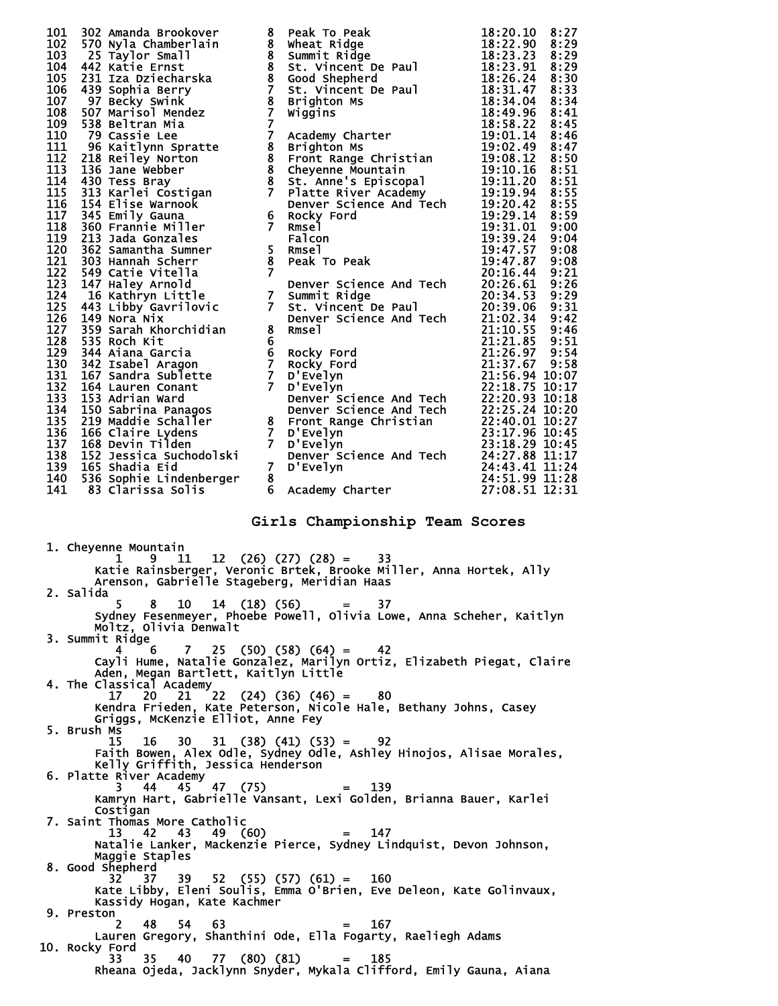| 101 302 Amanda Brookover and Behat Ridge 18:22, 10 8:27<br>102 Amanda Brookover and Behat Ridge 18:22, 10 8:27<br>108 433 Scaling Charles Errich and Scaling Scaling Charles in the state of the state of the state of the state |                                                                                                                   |                |
|----------------------------------------------------------------------------------------------------------------------------------------------------------------------------------------------------------------------------------|-------------------------------------------------------------------------------------------------------------------|----------------|
|                                                                                                                                                                                                                                  |                                                                                                                   |                |
|                                                                                                                                                                                                                                  |                                                                                                                   |                |
|                                                                                                                                                                                                                                  |                                                                                                                   |                |
|                                                                                                                                                                                                                                  |                                                                                                                   |                |
|                                                                                                                                                                                                                                  |                                                                                                                   |                |
|                                                                                                                                                                                                                                  |                                                                                                                   |                |
|                                                                                                                                                                                                                                  |                                                                                                                   |                |
|                                                                                                                                                                                                                                  |                                                                                                                   |                |
|                                                                                                                                                                                                                                  |                                                                                                                   |                |
|                                                                                                                                                                                                                                  |                                                                                                                   |                |
|                                                                                                                                                                                                                                  |                                                                                                                   |                |
|                                                                                                                                                                                                                                  |                                                                                                                   |                |
|                                                                                                                                                                                                                                  |                                                                                                                   |                |
|                                                                                                                                                                                                                                  |                                                                                                                   |                |
|                                                                                                                                                                                                                                  |                                                                                                                   |                |
|                                                                                                                                                                                                                                  |                                                                                                                   |                |
|                                                                                                                                                                                                                                  |                                                                                                                   |                |
|                                                                                                                                                                                                                                  |                                                                                                                   |                |
|                                                                                                                                                                                                                                  |                                                                                                                   |                |
|                                                                                                                                                                                                                                  |                                                                                                                   |                |
|                                                                                                                                                                                                                                  |                                                                                                                   |                |
|                                                                                                                                                                                                                                  |                                                                                                                   |                |
|                                                                                                                                                                                                                                  |                                                                                                                   |                |
|                                                                                                                                                                                                                                  |                                                                                                                   |                |
|                                                                                                                                                                                                                                  |                                                                                                                   |                |
|                                                                                                                                                                                                                                  |                                                                                                                   |                |
|                                                                                                                                                                                                                                  |                                                                                                                   |                |
|                                                                                                                                                                                                                                  |                                                                                                                   |                |
|                                                                                                                                                                                                                                  |                                                                                                                   |                |
|                                                                                                                                                                                                                                  |                                                                                                                   |                |
|                                                                                                                                                                                                                                  |                                                                                                                   |                |
|                                                                                                                                                                                                                                  |                                                                                                                   |                |
|                                                                                                                                                                                                                                  |                                                                                                                   |                |
| 139                                                                                                                                                                                                                              | 7 D'Evelyn                                                                                                        | 24:43.41 11:24 |
| 140<br>536 Sophie Lindenberger  8<br>83 Clarissa Solis    6<br>141<br>- 83 Clarissa Solis                                                                                                                                        | 8 24:51.99 11:28<br>6 Academy Charter 27:08.51 12:31                                                              |                |
|                                                                                                                                                                                                                                  |                                                                                                                   |                |
|                                                                                                                                                                                                                                  |                                                                                                                   |                |
|                                                                                                                                                                                                                                  | Girls Championship Team Scores                                                                                    |                |
|                                                                                                                                                                                                                                  |                                                                                                                   |                |
| 1. Cheyenne Mountain                                                                                                                                                                                                             |                                                                                                                   |                |
| 1                                                                                                                                                                                                                                | $9 \quad 11 \quad 12 \quad (26) \quad (27) \quad (28) = 33$                                                       |                |
|                                                                                                                                                                                                                                  |                                                                                                                   |                |
|                                                                                                                                                                                                                                  |                                                                                                                   |                |
|                                                                                                                                                                                                                                  | Katie Rainsberger, Veronic Brtek, Brooke Miller, Anna Hortek, Ally<br>Arenson, Gabrielle Stageberg, Meridian Haas |                |
| 2. Salida                                                                                                                                                                                                                        |                                                                                                                   |                |
| 8 <sup>1</sup>                                                                                                                                                                                                                   | $10 \quad 14 \quad (18) \quad (56) \quad = \quad 37$                                                              |                |
|                                                                                                                                                                                                                                  | Sydney Fesenmeyer, Phoebe Powell, Olivia Lowe, Anna Scheher, Kaitlyn                                              |                |
| Moltz, Olivia Denwalt                                                                                                                                                                                                            |                                                                                                                   |                |
| 3. Summit Ridge<br>4<br>- 6                                                                                                                                                                                                      |                                                                                                                   |                |
|                                                                                                                                                                                                                                  | $7 \quad 25 \quad (50) \quad (58) \quad (64) = 42$                                                                |                |
| Aden, Megan Bartlett, Kaitlyn Little                                                                                                                                                                                             | Cayli Hume, Natalie Gonzalez, Marilyn Ortiz, Elizabeth Piegat, Claire                                             |                |
| 4. The Classical Academy                                                                                                                                                                                                         |                                                                                                                   |                |
| 17                                                                                                                                                                                                                               | $22(24)(36)(46) = 80$                                                                                             |                |
|                                                                                                                                                                                                                                  | Kendra Frieden, Kate Peterson, Nicole Hale, Bethany Johns, Casey                                                  |                |
| Griggs, McKenzie Elliot, Anne Fey                                                                                                                                                                                                |                                                                                                                   |                |
| 5. Brush Ms                                                                                                                                                                                                                      |                                                                                                                   |                |
| $15 \t16 \t30 \t31 \t(38) \t(41) \t(53) = 92$                                                                                                                                                                                    |                                                                                                                   |                |
|                                                                                                                                                                                                                                  | Faith Bowen, Alex Odle, Sydney Odle, Ashley Hinojos, Alisae Morales,                                              |                |
| Kelly Griffith, Jessica Henderson                                                                                                                                                                                                |                                                                                                                   |                |
| 6. Platte River Academy<br>3.                                                                                                                                                                                                    | and the state of the state of<br>139                                                                              |                |
| 44 45 47 (75)                                                                                                                                                                                                                    | Kamryn Hart, Gabrielle Vansant, Lexi Golden, Brianna Bauer, Karlei                                                |                |
| Costigan                                                                                                                                                                                                                         |                                                                                                                   |                |
| 7. Saint Thomas More Catholic                                                                                                                                                                                                    |                                                                                                                   |                |
| 43 49 (60)<br>13 42                                                                                                                                                                                                              | 147                                                                                                               |                |
|                                                                                                                                                                                                                                  | Natalie Lanker, Mackenzie Pierce, Sydney Lindquist, Devon Johnson,                                                |                |
| Maggie Staples                                                                                                                                                                                                                   |                                                                                                                   |                |
| 8. Good Shepherd                                                                                                                                                                                                                 |                                                                                                                   |                |
|                                                                                                                                                                                                                                  |                                                                                                                   |                |
|                                                                                                                                                                                                                                  | 32 37 39 52 (55) (57) (61) = 160<br>Kate_Libby, Eleni Soulis, Emma O'Brien, Eve Deleon, Kate Golinvaux,           |                |
| Kassidy Hogan, Kate Kachmer<br>9. Preston $\overline{a}$ and $\overline{a}$ and $\overline{a}$ and $\overline{a}$                                                                                                                |                                                                                                                   |                |

 2 48 54 63 = 167 Lauren Gregory, Shanthini Ode, Ella Fogarty, Raeliegh Adams 10. Rocky Ford 33 35 40 77 (80) (81) = 185 Rheana Ojeda, Jacklynn Snyder, Mykala Clifford, Emily Gauna, Aiana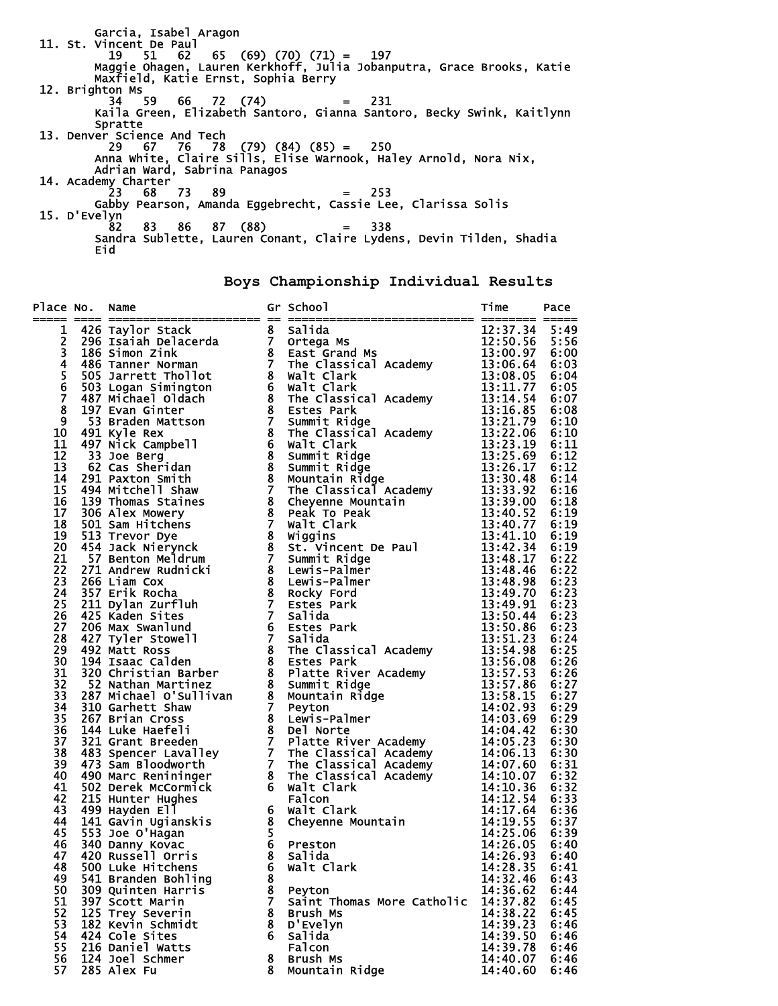Garcia, Isabel Aragon 11. St. Vincent De Paul 19 51 62 65 (69) (70) (71) = 197 Maggie Ohagen, Lauren Kerkhoff, Julia Jobanputra, Grace Brooks, Katie Maxfield, Katie Ernst, Sophia Berry 12. Brighton Ms<br> $\begin{array}{r}34 & 59\\34 & 59\end{array}$  $34$  59 66 72 (74) = 231 Kaila Green, Elizabeth Santoro, Gianna Santoro, Becky Swink, Kaitlynn **Spratte**  13. Denver Science And Tech 29 67 76 78 (79) (84) (85) = 250 Anna White, Claire Sills, Elise Warnook, Haley Arnold, Nora Nix, Adrian Ward, Sabrina Panagos 14. Academy Charter 23 68 73 89 = 253 Gabby Pearson, Amanda Eggebrecht, Cassie Lee, Clarissa Solis 15. D'Evelyn 82 83 86 87 (88) = 338 Sandra Sublette, Lauren Conant, Claire Lydens, Devin Tilden, Shadia Eid

**Boys Championship Individual Results** 

|                         |                                     |   | Mone Transformation of School 113:30.00 (18)<br>1966 Simon Delha Record of Section and International Catalog (18) 513-50.00 (18)<br>1966 Simon Delha Record of the Classical Academy<br>1978 Simon Delha Record of the Classical Ac |                      |      |
|-------------------------|-------------------------------------|---|-------------------------------------------------------------------------------------------------------------------------------------------------------------------------------------------------------------------------------------|----------------------|------|
| 1                       |                                     |   |                                                                                                                                                                                                                                     |                      |      |
|                         |                                     |   |                                                                                                                                                                                                                                     |                      |      |
|                         |                                     |   |                                                                                                                                                                                                                                     |                      |      |
|                         |                                     |   |                                                                                                                                                                                                                                     |                      |      |
|                         |                                     |   |                                                                                                                                                                                                                                     |                      |      |
| 234567                  |                                     |   |                                                                                                                                                                                                                                     |                      |      |
|                         |                                     |   |                                                                                                                                                                                                                                     |                      |      |
| $\overline{\mathbf{8}}$ |                                     |   |                                                                                                                                                                                                                                     |                      |      |
| $\overline{9}$          |                                     |   |                                                                                                                                                                                                                                     |                      |      |
| 10                      |                                     |   |                                                                                                                                                                                                                                     |                      |      |
| 11                      |                                     |   |                                                                                                                                                                                                                                     |                      |      |
| 12                      |                                     |   |                                                                                                                                                                                                                                     |                      |      |
| 13                      |                                     |   |                                                                                                                                                                                                                                     |                      |      |
| 14                      |                                     |   |                                                                                                                                                                                                                                     |                      |      |
| 15                      |                                     |   |                                                                                                                                                                                                                                     |                      |      |
| 16                      |                                     |   |                                                                                                                                                                                                                                     |                      |      |
| 17                      |                                     |   |                                                                                                                                                                                                                                     |                      |      |
| 18                      |                                     |   |                                                                                                                                                                                                                                     |                      |      |
| 19                      |                                     |   |                                                                                                                                                                                                                                     |                      |      |
| 20                      |                                     |   |                                                                                                                                                                                                                                     |                      |      |
| 21                      |                                     |   |                                                                                                                                                                                                                                     |                      |      |
| 22                      |                                     |   |                                                                                                                                                                                                                                     |                      |      |
| 23                      |                                     |   |                                                                                                                                                                                                                                     |                      |      |
| 24                      |                                     |   |                                                                                                                                                                                                                                     |                      |      |
| 25                      |                                     |   |                                                                                                                                                                                                                                     |                      |      |
| 26                      |                                     |   |                                                                                                                                                                                                                                     |                      |      |
| 27                      |                                     |   |                                                                                                                                                                                                                                     |                      |      |
| 28                      |                                     |   |                                                                                                                                                                                                                                     |                      |      |
| 29                      |                                     |   |                                                                                                                                                                                                                                     |                      |      |
| 30                      |                                     |   |                                                                                                                                                                                                                                     |                      |      |
| 31                      |                                     |   |                                                                                                                                                                                                                                     |                      |      |
| 32                      |                                     |   |                                                                                                                                                                                                                                     |                      |      |
| 33                      |                                     |   |                                                                                                                                                                                                                                     |                      |      |
| 34                      |                                     |   |                                                                                                                                                                                                                                     |                      |      |
| 35                      |                                     |   |                                                                                                                                                                                                                                     |                      |      |
| 36                      |                                     |   |                                                                                                                                                                                                                                     |                      |      |
| 37                      |                                     |   |                                                                                                                                                                                                                                     |                      |      |
| 38                      |                                     |   |                                                                                                                                                                                                                                     |                      |      |
| 39                      |                                     |   |                                                                                                                                                                                                                                     |                      |      |
| 40                      |                                     |   |                                                                                                                                                                                                                                     |                      |      |
| 41                      |                                     |   |                                                                                                                                                                                                                                     |                      |      |
| 42                      |                                     |   |                                                                                                                                                                                                                                     |                      |      |
| 43                      |                                     |   |                                                                                                                                                                                                                                     |                      |      |
| 44                      |                                     |   |                                                                                                                                                                                                                                     |                      |      |
| 45                      |                                     |   |                                                                                                                                                                                                                                     |                      |      |
| 46                      |                                     |   |                                                                                                                                                                                                                                     |                      |      |
| 47                      |                                     |   |                                                                                                                                                                                                                                     |                      |      |
| 48                      |                                     |   |                                                                                                                                                                                                                                     |                      |      |
| 49                      | 541 Branden Bohling                 | 8 |                                                                                                                                                                                                                                     | 14:32.46             | 6:43 |
| 50                      | 309 Quinten Harris                  | 8 | Peyton                                                                                                                                                                                                                              | 14:36.62             | 6:44 |
| 51                      | 397 Scott Marin                     | 7 | Saint Thomas More Catholic                                                                                                                                                                                                          | 14:37.82             | 6:45 |
| 52                      | 125 Trey Severin                    | 8 | Brush Ms                                                                                                                                                                                                                            | 14:38.22             | 6:45 |
| 53                      | 182 Kevin Schmidt                   | 8 | D'Evelyn                                                                                                                                                                                                                            | 14:39.23             | 6:46 |
| 54                      | 424 Cole Sites                      | 6 | Salida                                                                                                                                                                                                                              | 14:39.50             | 6:46 |
| 55                      | 216 Daniel Watts<br>124 Joel Schmer | 8 | Falcon                                                                                                                                                                                                                              | 14:39.78<br>14:40.07 | 6:46 |
| 56<br>57                | 285 Alex Fu                         | 8 | Brush Ms                                                                                                                                                                                                                            | 14:40.60             | 6:46 |
|                         |                                     |   | Mountain Ridge                                                                                                                                                                                                                      |                      | 6:46 |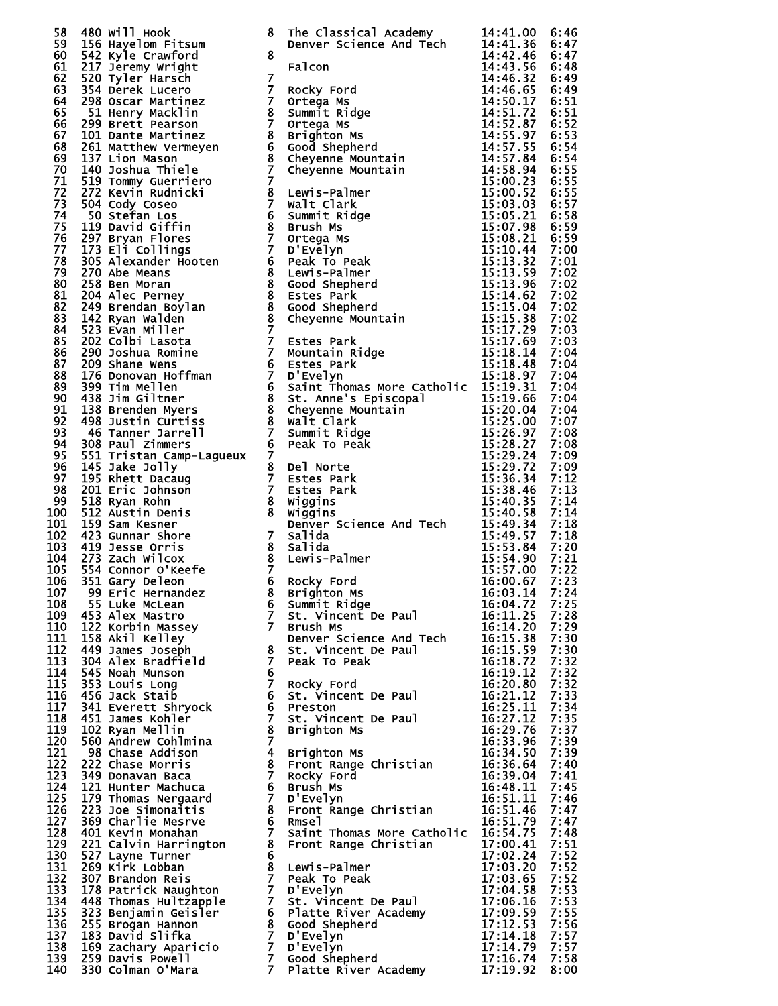|            |                                                                                                                                                                                                                                                           | 58 149 will Hook and the Classical Académy<br>58 150 will Hook resuments are classical Académy<br>62 521 2 Jeremy Wright 8 Denver science And Tech 14:41.05 6:47<br>621 22 Jeremy Wright 7 Palcon<br>621 22 Jeremy Wright 7 Palcon<br>6 |          |              |
|------------|-----------------------------------------------------------------------------------------------------------------------------------------------------------------------------------------------------------------------------------------------------------|-----------------------------------------------------------------------------------------------------------------------------------------------------------------------------------------------------------------------------------------|----------|--------------|
|            |                                                                                                                                                                                                                                                           |                                                                                                                                                                                                                                         |          |              |
|            |                                                                                                                                                                                                                                                           |                                                                                                                                                                                                                                         |          |              |
|            |                                                                                                                                                                                                                                                           |                                                                                                                                                                                                                                         |          |              |
|            |                                                                                                                                                                                                                                                           |                                                                                                                                                                                                                                         |          |              |
|            |                                                                                                                                                                                                                                                           |                                                                                                                                                                                                                                         |          |              |
|            |                                                                                                                                                                                                                                                           |                                                                                                                                                                                                                                         |          |              |
|            |                                                                                                                                                                                                                                                           |                                                                                                                                                                                                                                         |          |              |
|            |                                                                                                                                                                                                                                                           |                                                                                                                                                                                                                                         |          |              |
|            |                                                                                                                                                                                                                                                           |                                                                                                                                                                                                                                         |          |              |
|            |                                                                                                                                                                                                                                                           |                                                                                                                                                                                                                                         |          |              |
|            |                                                                                                                                                                                                                                                           |                                                                                                                                                                                                                                         |          |              |
|            |                                                                                                                                                                                                                                                           |                                                                                                                                                                                                                                         |          |              |
|            |                                                                                                                                                                                                                                                           |                                                                                                                                                                                                                                         |          |              |
|            |                                                                                                                                                                                                                                                           |                                                                                                                                                                                                                                         |          |              |
|            |                                                                                                                                                                                                                                                           |                                                                                                                                                                                                                                         |          |              |
|            |                                                                                                                                                                                                                                                           |                                                                                                                                                                                                                                         |          |              |
|            |                                                                                                                                                                                                                                                           |                                                                                                                                                                                                                                         |          |              |
|            |                                                                                                                                                                                                                                                           |                                                                                                                                                                                                                                         |          |              |
|            |                                                                                                                                                                                                                                                           |                                                                                                                                                                                                                                         |          |              |
|            |                                                                                                                                                                                                                                                           |                                                                                                                                                                                                                                         |          |              |
|            |                                                                                                                                                                                                                                                           |                                                                                                                                                                                                                                         |          |              |
|            |                                                                                                                                                                                                                                                           |                                                                                                                                                                                                                                         |          |              |
|            |                                                                                                                                                                                                                                                           |                                                                                                                                                                                                                                         |          |              |
|            |                                                                                                                                                                                                                                                           |                                                                                                                                                                                                                                         |          |              |
|            |                                                                                                                                                                                                                                                           |                                                                                                                                                                                                                                         |          |              |
|            |                                                                                                                                                                                                                                                           |                                                                                                                                                                                                                                         |          |              |
|            |                                                                                                                                                                                                                                                           |                                                                                                                                                                                                                                         |          |              |
|            |                                                                                                                                                                                                                                                           |                                                                                                                                                                                                                                         |          |              |
|            |                                                                                                                                                                                                                                                           |                                                                                                                                                                                                                                         |          |              |
|            |                                                                                                                                                                                                                                                           |                                                                                                                                                                                                                                         |          |              |
|            |                                                                                                                                                                                                                                                           |                                                                                                                                                                                                                                         |          |              |
|            |                                                                                                                                                                                                                                                           |                                                                                                                                                                                                                                         |          |              |
|            |                                                                                                                                                                                                                                                           |                                                                                                                                                                                                                                         |          |              |
|            |                                                                                                                                                                                                                                                           |                                                                                                                                                                                                                                         |          |              |
|            |                                                                                                                                                                                                                                                           |                                                                                                                                                                                                                                         |          |              |
|            |                                                                                                                                                                                                                                                           |                                                                                                                                                                                                                                         |          |              |
|            |                                                                                                                                                                                                                                                           |                                                                                                                                                                                                                                         |          |              |
|            |                                                                                                                                                                                                                                                           |                                                                                                                                                                                                                                         |          |              |
|            |                                                                                                                                                                                                                                                           |                                                                                                                                                                                                                                         |          |              |
|            |                                                                                                                                                                                                                                                           |                                                                                                                                                                                                                                         |          |              |
|            |                                                                                                                                                                                                                                                           |                                                                                                                                                                                                                                         |          |              |
|            |                                                                                                                                                                                                                                                           |                                                                                                                                                                                                                                         |          |              |
|            |                                                                                                                                                                                                                                                           |                                                                                                                                                                                                                                         |          |              |
|            |                                                                                                                                                                                                                                                           |                                                                                                                                                                                                                                         |          |              |
|            |                                                                                                                                                                                                                                                           |                                                                                                                                                                                                                                         |          |              |
|            |                                                                                                                                                                                                                                                           |                                                                                                                                                                                                                                         |          |              |
|            |                                                                                                                                                                                                                                                           |                                                                                                                                                                                                                                         |          |              |
|            |                                                                                                                                                                                                                                                           |                                                                                                                                                                                                                                         |          |              |
|            |                                                                                                                                                                                                                                                           |                                                                                                                                                                                                                                         |          |              |
|            |                                                                                                                                                                                                                                                           |                                                                                                                                                                                                                                         |          |              |
|            |                                                                                                                                                                                                                                                           |                                                                                                                                                                                                                                         |          |              |
|            |                                                                                                                                                                                                                                                           |                                                                                                                                                                                                                                         |          |              |
|            |                                                                                                                                                                                                                                                           |                                                                                                                                                                                                                                         |          |              |
|            |                                                                                                                                                                                                                                                           |                                                                                                                                                                                                                                         |          |              |
|            |                                                                                                                                                                                                                                                           |                                                                                                                                                                                                                                         |          |              |
|            |                                                                                                                                                                                                                                                           |                                                                                                                                                                                                                                         |          |              |
|            |                                                                                                                                                                                                                                                           |                                                                                                                                                                                                                                         |          |              |
| 107        | 99 Eric Hernandez 8                                                                                                                                                                                                                                       | Brighton Ms                                                                                                                                                                                                                             | 16:03.14 | 7:24         |
| 108        |                                                                                                                                                                                                                                                           |                                                                                                                                                                                                                                         |          | 7:25         |
|            |                                                                                                                                                                                                                                                           |                                                                                                                                                                                                                                         |          | 7:28         |
| 109        |                                                                                                                                                                                                                                                           |                                                                                                                                                                                                                                         |          |              |
| 110        |                                                                                                                                                                                                                                                           |                                                                                                                                                                                                                                         |          | 7:29         |
| 111        |                                                                                                                                                                                                                                                           |                                                                                                                                                                                                                                         |          | 7:30         |
| 112        |                                                                                                                                                                                                                                                           |                                                                                                                                                                                                                                         |          | 7:30         |
| 113        |                                                                                                                                                                                                                                                           |                                                                                                                                                                                                                                         |          | 7:32         |
|            |                                                                                                                                                                                                                                                           |                                                                                                                                                                                                                                         |          |              |
| 114        |                                                                                                                                                                                                                                                           |                                                                                                                                                                                                                                         |          | 7:32         |
| 115        |                                                                                                                                                                                                                                                           |                                                                                                                                                                                                                                         |          | 7:32         |
| 116        |                                                                                                                                                                                                                                                           |                                                                                                                                                                                                                                         |          | 7:33         |
| 117        |                                                                                                                                                                                                                                                           |                                                                                                                                                                                                                                         |          | 7:34         |
|            |                                                                                                                                                                                                                                                           |                                                                                                                                                                                                                                         |          | 7:35         |
| 118        |                                                                                                                                                                                                                                                           |                                                                                                                                                                                                                                         |          |              |
| 119        |                                                                                                                                                                                                                                                           |                                                                                                                                                                                                                                         |          | 7:37         |
| 120        |                                                                                                                                                                                                                                                           |                                                                                                                                                                                                                                         |          | 7:39         |
| 121        |                                                                                                                                                                                                                                                           |                                                                                                                                                                                                                                         |          | 7:39         |
| 122        |                                                                                                                                                                                                                                                           |                                                                                                                                                                                                                                         |          | 7:40         |
|            |                                                                                                                                                                                                                                                           |                                                                                                                                                                                                                                         |          |              |
| 123        |                                                                                                                                                                                                                                                           |                                                                                                                                                                                                                                         |          | 7:41         |
| 124        |                                                                                                                                                                                                                                                           |                                                                                                                                                                                                                                         |          | 7:45         |
| 125        |                                                                                                                                                                                                                                                           |                                                                                                                                                                                                                                         |          | 7:46         |
| 126        |                                                                                                                                                                                                                                                           |                                                                                                                                                                                                                                         |          | 7:47         |
|            |                                                                                                                                                                                                                                                           |                                                                                                                                                                                                                                         |          |              |
| 127        |                                                                                                                                                                                                                                                           |                                                                                                                                                                                                                                         |          | 7:47         |
| 128        |                                                                                                                                                                                                                                                           |                                                                                                                                                                                                                                         |          | 7:48         |
| 129        |                                                                                                                                                                                                                                                           |                                                                                                                                                                                                                                         |          | 7:51         |
| 130        |                                                                                                                                                                                                                                                           |                                                                                                                                                                                                                                         |          | 7:52         |
|            |                                                                                                                                                                                                                                                           |                                                                                                                                                                                                                                         |          |              |
| 131        |                                                                                                                                                                                                                                                           |                                                                                                                                                                                                                                         |          | 7:52         |
| 132        |                                                                                                                                                                                                                                                           |                                                                                                                                                                                                                                         |          | 7:52         |
| 133        |                                                                                                                                                                                                                                                           |                                                                                                                                                                                                                                         |          | 7:53         |
| 134        |                                                                                                                                                                                                                                                           |                                                                                                                                                                                                                                         |          | 7:53         |
|            |                                                                                                                                                                                                                                                           |                                                                                                                                                                                                                                         |          |              |
| 135        |                                                                                                                                                                                                                                                           |                                                                                                                                                                                                                                         |          | 7:55         |
| 136        |                                                                                                                                                                                                                                                           |                                                                                                                                                                                                                                         |          | 7:56         |
| 137        |                                                                                                                                                                                                                                                           |                                                                                                                                                                                                                                         |          | 7:57         |
| 138        |                                                                                                                                                                                                                                                           |                                                                                                                                                                                                                                         |          | 7:57         |
|            |                                                                                                                                                                                                                                                           |                                                                                                                                                                                                                                         |          |              |
|            |                                                                                                                                                                                                                                                           |                                                                                                                                                                                                                                         |          |              |
| 139<br>140 | 351 Gary Deleon<br>16:00.67<br>99 Erric Hernandez<br>8 Brighton Ms<br>16:03.14<br>453 Alex Mastro<br>6 Summit Ridge<br>453 Alex Mastro<br>7 St. Vincent De Paul<br>16:11.25<br>16:31.22 Korbin Massey<br>7 Brush Massey<br>7 Brush Massey<br>16:11.25<br> |                                                                                                                                                                                                                                         |          | 7:58<br>8:00 |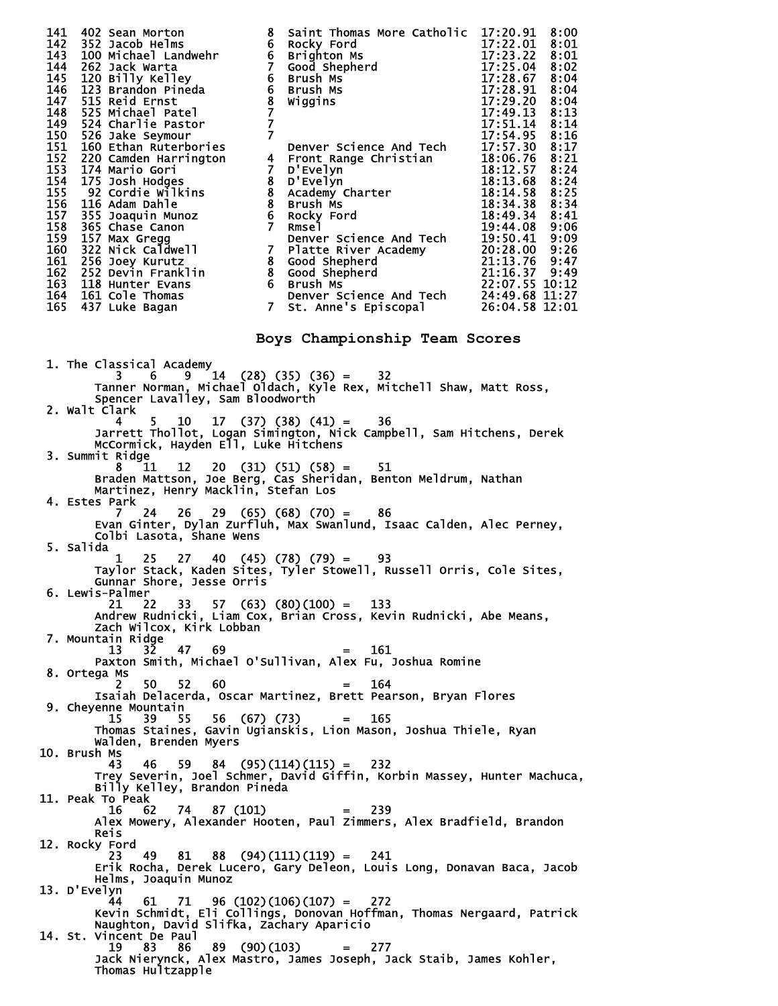| 141<br>402 Sean Morton<br>142<br>352 Jacob Helms<br>100 Michael Landwehr<br>143<br>27<br>123 Brandon Pineda<br>123 Brandon Pineda<br>515 Reid Ernst<br>525 Michael Patel<br>524 Charlie Pastor<br>526 Jake<br>144 262 Jack Warta<br>145<br>146<br>147<br>148<br>149<br>150<br>526 Jake Seymour<br><b>160 Ethan Ruterbories<br/>160 Ethan Ruterbories<br/>220 Camder USSS</b><br>151<br>220 Camden Harrington<br>152<br>153<br>174 Mario Gori<br>154<br>175 Josh Hodges | 8<br>Saint Thomas More Catholic<br>6 Rocky Ford<br>norty rol<br>Brighton Ms<br>Good Shepherd<br>Brush Ms<br>Wiggins<br>6 <sup>1</sup><br>$\overline{7}$<br>Denver Science And Tech<br><b>4</b> Front Range Christian<br>7 D'Evelyn<br>8 D'Evelyn<br>D'Evelyn<br>Academy Charter<br>8<br>D'Evelyn<br>194 1/3 Josh Hoages<br>155 92 Cordie wilkins<br>156 116 Adam Dahle<br>157 355 Joaquin Munoz<br>158 365 Chase Canon<br>159 157 Max Gregg<br>160 322 Nick Caldwell<br>161 256 Joey Kurutz<br>162 252 Devin Franklin<br>163 118 Hunter Evans<br>164 1<br>Denver Science And Tech<br>Denver Science And Tech 24:49.68 11:27<br>St. Anne's Episcopal | 17:20.91<br>8:00<br>17:22.01<br>8:01<br>17:23.22<br>8:01<br>17:25.04<br>8:02<br>17:28.67<br>8:04<br>17:28.91<br>8:04<br>17:29.20<br>8:04<br>17:49.13<br>8:13<br>17:51.14<br>8:14<br>17:54.95<br>8:16<br>17:57.30<br>8:17<br>18:06.76<br>8:21<br>18:12.57<br>8:24<br>18:13.68<br>8:24<br>18:14.58<br>8:25<br>18:34.38<br>8:34<br>18:49.34<br>8:41<br>19:44.08<br>9:06<br>19:50.41<br>20:28.00<br>9:09<br>9:26<br>21:13.76<br>9:47<br>21:16.37<br>9:49<br>22:07.55 10:12<br>26:04.58 12:01 |
|------------------------------------------------------------------------------------------------------------------------------------------------------------------------------------------------------------------------------------------------------------------------------------------------------------------------------------------------------------------------------------------------------------------------------------------------------------------------|-----------------------------------------------------------------------------------------------------------------------------------------------------------------------------------------------------------------------------------------------------------------------------------------------------------------------------------------------------------------------------------------------------------------------------------------------------------------------------------------------------------------------------------------------------------------------------------------------------------------------------------------------------|------------------------------------------------------------------------------------------------------------------------------------------------------------------------------------------------------------------------------------------------------------------------------------------------------------------------------------------------------------------------------------------------------------------------------------------------------------------------------------------|
|                                                                                                                                                                                                                                                                                                                                                                                                                                                                        | Boys Championship Team Scores                                                                                                                                                                                                                                                                                                                                                                                                                                                                                                                                                                                                                       |                                                                                                                                                                                                                                                                                                                                                                                                                                                                                          |
| 1. The Classical Academy<br>6<br>3.<br>Spencer Lavalley, Sam Bloodworth                                                                                                                                                                                                                                                                                                                                                                                                | $9 \t14 \t(28) \t(35) \t(36) =$<br>-32<br>Tanner Norman, Michael Oldach, Kyle Rex, Mitchell Shaw, Matt Ross,                                                                                                                                                                                                                                                                                                                                                                                                                                                                                                                                        |                                                                                                                                                                                                                                                                                                                                                                                                                                                                                          |
| 2. Walt Clark                                                                                                                                                                                                                                                                                                                                                                                                                                                          |                                                                                                                                                                                                                                                                                                                                                                                                                                                                                                                                                                                                                                                     |                                                                                                                                                                                                                                                                                                                                                                                                                                                                                          |
| 5.<br>4.<br>McCormick, Hayden Ell, Luke Hitchens<br>3. Summit Ridge                                                                                                                                                                                                                                                                                                                                                                                                    | $10 \quad 17 \quad (37) \quad (38) \quad (41) =$<br>36<br>Jarrett Thollot, Logan Simington, Nick Campbell, Sam Hitchens, Derek                                                                                                                                                                                                                                                                                                                                                                                                                                                                                                                      |                                                                                                                                                                                                                                                                                                                                                                                                                                                                                          |
| Martinez, Henry Macklin, Stefan Los<br>4. Estes Park                                                                                                                                                                                                                                                                                                                                                                                                                   |                                                                                                                                                                                                                                                                                                                                                                                                                                                                                                                                                                                                                                                     |                                                                                                                                                                                                                                                                                                                                                                                                                                                                                          |
| Colbi Lasota, Shane Wens<br>5. Salida                                                                                                                                                                                                                                                                                                                                                                                                                                  | 7 24 26 29 (65) (68) (70) = 86<br>Evan Ginter, Dylan Zurfluh, Max Swanlund, Isaac Calden, Alec Perney,                                                                                                                                                                                                                                                                                                                                                                                                                                                                                                                                              |                                                                                                                                                                                                                                                                                                                                                                                                                                                                                          |
| 1                                                                                                                                                                                                                                                                                                                                                                                                                                                                      | 25 27 40 (45) (78) (79) = $\overline{a}$<br>93<br>Taylor Stack, Kaden Sites, Tyler Stowell, Russell Orris, Cole Sites,                                                                                                                                                                                                                                                                                                                                                                                                                                                                                                                              |                                                                                                                                                                                                                                                                                                                                                                                                                                                                                          |
| Gunnar Shore, Jesse Orris<br>6. Lewis-Palmer                                                                                                                                                                                                                                                                                                                                                                                                                           |                                                                                                                                                                                                                                                                                                                                                                                                                                                                                                                                                                                                                                                     |                                                                                                                                                                                                                                                                                                                                                                                                                                                                                          |
| Zach Wilcox, Kirk Lobban<br>7. Mountain Ridge                                                                                                                                                                                                                                                                                                                                                                                                                          | 21 22 33 57 (63) (80)(100) = 133<br>Andrew Rudnicki, Liam Cox, Brian Cross, Kevin Rudnicki, Abe Means,                                                                                                                                                                                                                                                                                                                                                                                                                                                                                                                                              |                                                                                                                                                                                                                                                                                                                                                                                                                                                                                          |
| 32 47 69<br>13.                                                                                                                                                                                                                                                                                                                                                                                                                                                        | 161<br>Paxton Smith, Michael O'Sullivan, Alex Fu, Joshua Romine                                                                                                                                                                                                                                                                                                                                                                                                                                                                                                                                                                                     |                                                                                                                                                                                                                                                                                                                                                                                                                                                                                          |
| 8. Ortega Ms<br>50 52 60<br>2.                                                                                                                                                                                                                                                                                                                                                                                                                                         | 164                                                                                                                                                                                                                                                                                                                                                                                                                                                                                                                                                                                                                                                 |                                                                                                                                                                                                                                                                                                                                                                                                                                                                                          |
| 9. Chevenne Mountain                                                                                                                                                                                                                                                                                                                                                                                                                                                   | Isaiah Delacerda, Oscar Martinez, Brett Pearson, Bryan Flores                                                                                                                                                                                                                                                                                                                                                                                                                                                                                                                                                                                       |                                                                                                                                                                                                                                                                                                                                                                                                                                                                                          |
| 39<br>15 -                                                                                                                                                                                                                                                                                                                                                                                                                                                             | 55 56 (67) (73) =<br>165<br>Thomas Staines, Gavin Ugianskis, Lion Mason, Joshua Thiele, Ryan                                                                                                                                                                                                                                                                                                                                                                                                                                                                                                                                                        |                                                                                                                                                                                                                                                                                                                                                                                                                                                                                          |
| Walden, Brenden Myers<br>10. Brush Ms<br>43                                                                                                                                                                                                                                                                                                                                                                                                                            | 46 59 84 (95)(114)(115) = 232                                                                                                                                                                                                                                                                                                                                                                                                                                                                                                                                                                                                                       |                                                                                                                                                                                                                                                                                                                                                                                                                                                                                          |
| Billy Kelley, Brandon Pineda<br>11. Peak To Peak<br>16 62 74 87 (101)                                                                                                                                                                                                                                                                                                                                                                                                  | Trey Severin, Joel Schmer, David Giffin, Korbin Massey, Hunter Machuca,<br>$= 239$                                                                                                                                                                                                                                                                                                                                                                                                                                                                                                                                                                  |                                                                                                                                                                                                                                                                                                                                                                                                                                                                                          |
| <b>Reis</b>                                                                                                                                                                                                                                                                                                                                                                                                                                                            | Alex Mowery, Alexander Hooten, Paul Zimmers, Alex Bradfield, Brandon                                                                                                                                                                                                                                                                                                                                                                                                                                                                                                                                                                                |                                                                                                                                                                                                                                                                                                                                                                                                                                                                                          |
| 12. Rocky Ford<br>Helms, Joaquin Munoz                                                                                                                                                                                                                                                                                                                                                                                                                                 | $23$ 49 81 88 $(94)(111)(119) = 241$<br>Erik Rocha, Derek Lucero, Gary Deleon, Louis Long, Donavan Baca, Jacob                                                                                                                                                                                                                                                                                                                                                                                                                                                                                                                                      |                                                                                                                                                                                                                                                                                                                                                                                                                                                                                          |
| 13. D'Evelyn<br>44<br>Naughton, David Slifka, Zachary Aparicio                                                                                                                                                                                                                                                                                                                                                                                                         | $61$ 71 96 (102) (106) (107) = 272<br>Kevin Schmidt, Eli Collings, Donovan Hoffman, Thomas Nergaard, Patrick                                                                                                                                                                                                                                                                                                                                                                                                                                                                                                                                        |                                                                                                                                                                                                                                                                                                                                                                                                                                                                                          |
| 14. St. Vincent De Paul<br>19                                                                                                                                                                                                                                                                                                                                                                                                                                          | 83 86 89 (90) (103) = 277                                                                                                                                                                                                                                                                                                                                                                                                                                                                                                                                                                                                                           |                                                                                                                                                                                                                                                                                                                                                                                                                                                                                          |
| Thomas Hultzapple                                                                                                                                                                                                                                                                                                                                                                                                                                                      | Jack Nierynck, Alex Mastro, James Joseph, Jack Staib, James Kohler,                                                                                                                                                                                                                                                                                                                                                                                                                                                                                                                                                                                 |                                                                                                                                                                                                                                                                                                                                                                                                                                                                                          |